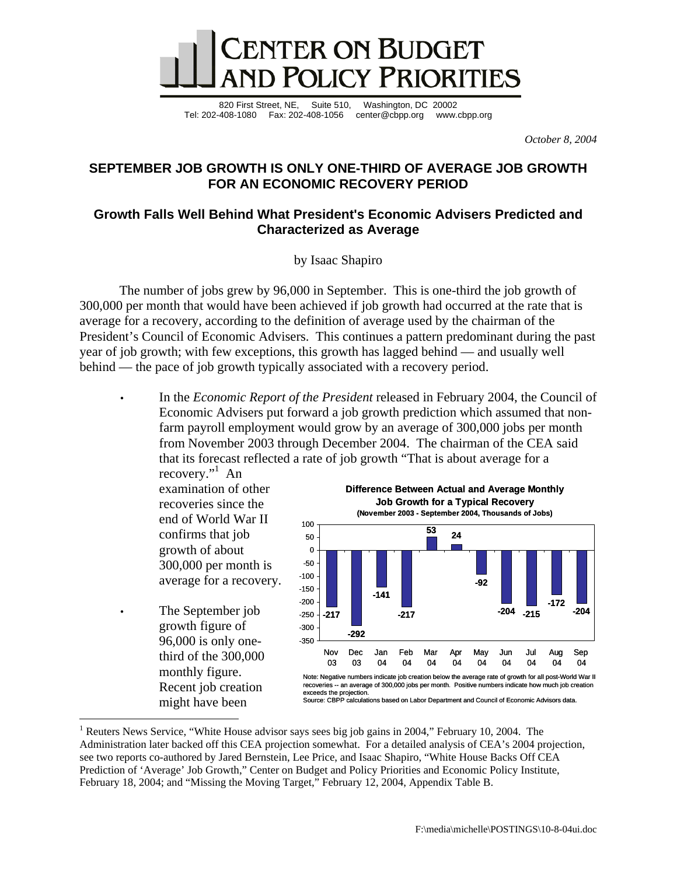

820 First Street, NE, Suite 510, Washington, DC 20002 Tel: 202-408-1080 Fax: 202-408-1056 center@cbpp.org www.cbpp.org

*October 8, 2004* 

## **SEPTEMBER JOB GROWTH IS ONLY ONE-THIRD OF AVERAGE JOB GROWTH FOR AN ECONOMIC RECOVERY PERIOD**

## **Growth Falls Well Behind What President's Economic Advisers Predicted and Characterized as Average**

by Isaac Shapiro

 The number of jobs grew by 96,000 in September. This is one-third the job growth of 300,000 per month that would have been achieved if job growth had occurred at the rate that is average for a recovery, according to the definition of average used by the chairman of the President's Council of Economic Advisers. This continues a pattern predominant during the past year of job growth; with few exceptions, this growth has lagged behind — and usually well behind — the pace of job growth typically associated with a recovery period.

• In the *Economic Report of the President* released in February 2004, the Council of Economic Advisers put forward a job growth prediction which assumed that nonfarm payroll employment would grow by an average of 300,000 jobs per month from November 2003 through December 2004. The chairman of the CEA said that its forecast reflected a rate of job growth "That is about average for a

recovery."<sup>1</sup> An examination of other recoveries since the end of World War II confirms that job growth of about 300,000 per month is average for a recovery.

The September job growth figure of 96,000 is only onethird of the 300,000 monthly figure. Recent job creation might have been

 $\overline{a}$ 



Source: CBPP calculations based on Labor Department and Council of Economic Advisors data.

<sup>&</sup>lt;sup>1</sup> Reuters News Service, "White House advisor says sees big job gains in 2004," February 10, 2004. The Administration later backed off this CEA projection somewhat. For a detailed analysis of CEA's 2004 projection, see two reports co-authored by Jared Bernstein, Lee Price, and Isaac Shapiro, "White House Backs Off CEA Prediction of 'Average' Job Growth," Center on Budget and Policy Priorities and Economic Policy Institute, February 18, 2004; and "Missing the Moving Target," February 12, 2004, Appendix Table B.